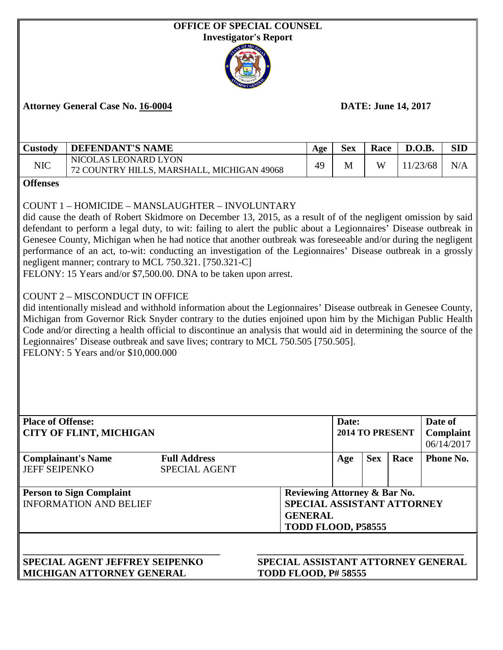| <b>OFFICE OF SPECIAL COUNSEL</b><br><b>Investigator's Report</b> |                                                                                                                                                                                                                                                                                                                                                                                                                                                                                                                                                                                                                                                                                                                                                                                                                                                                                                                                                                                                            |                                             |  |                                                                                                    |            |            |      |          |            |
|------------------------------------------------------------------|------------------------------------------------------------------------------------------------------------------------------------------------------------------------------------------------------------------------------------------------------------------------------------------------------------------------------------------------------------------------------------------------------------------------------------------------------------------------------------------------------------------------------------------------------------------------------------------------------------------------------------------------------------------------------------------------------------------------------------------------------------------------------------------------------------------------------------------------------------------------------------------------------------------------------------------------------------------------------------------------------------|---------------------------------------------|--|----------------------------------------------------------------------------------------------------|------------|------------|------|----------|------------|
|                                                                  |                                                                                                                                                                                                                                                                                                                                                                                                                                                                                                                                                                                                                                                                                                                                                                                                                                                                                                                                                                                                            |                                             |  |                                                                                                    |            |            |      |          |            |
|                                                                  | <b>DATE: June 14, 2017</b><br><b>Attorney General Case No. 16-0004</b>                                                                                                                                                                                                                                                                                                                                                                                                                                                                                                                                                                                                                                                                                                                                                                                                                                                                                                                                     |                                             |  |                                                                                                    |            |            |      |          |            |
| Custody                                                          | <b>DEFENDANT'S NAME</b>                                                                                                                                                                                                                                                                                                                                                                                                                                                                                                                                                                                                                                                                                                                                                                                                                                                                                                                                                                                    |                                             |  | Age                                                                                                | <b>Sex</b> | Race       |      | D.O.B.   | <b>SID</b> |
| <b>NIC</b>                                                       | NICOLAS LEONARD LYON<br>72 COUNTRY HILLS, MARSHALL, MICHIGAN 49068                                                                                                                                                                                                                                                                                                                                                                                                                                                                                                                                                                                                                                                                                                                                                                                                                                                                                                                                         |                                             |  | 49                                                                                                 | M          | W          |      | 11/23/68 | N/A        |
| <b>Offenses</b>                                                  |                                                                                                                                                                                                                                                                                                                                                                                                                                                                                                                                                                                                                                                                                                                                                                                                                                                                                                                                                                                                            |                                             |  |                                                                                                    |            |            |      |          |            |
|                                                                  | defendant to perform a legal duty, to wit: failing to alert the public about a Legionnaires' Disease outbreak in<br>Genesee County, Michigan when he had notice that another outbreak was foreseeable and/or during the negligent<br>performance of an act, to-wit: conducting an investigation of the Legionnaires' Disease outbreak in a grossly<br>negligent manner; contrary to MCL 750.321. [750.321-C]<br>FELONY: 15 Years and/or \$7,500.00. DNA to be taken upon arrest.<br><b>COUNT 2 - MISCONDUCT IN OFFICE</b><br>did intentionally mislead and withhold information about the Legionnaires' Disease outbreak in Genesee County,<br>Michigan from Governor Rick Snyder contrary to the duties enjoined upon him by the Michigan Public Health<br>Code and/or directing a health official to discontinue an analysis that would aid in determining the source of the<br>Legionnaires' Disease outbreak and save lives; contrary to MCL 750.505 [750.505].<br>FELONY: 5 Years and/or \$10,000.000 |                                             |  |                                                                                                    |            |            |      |          |            |
|                                                                  | <b>Place of Offense:</b><br>Date of<br>Date:<br>2014 TO PRESENT<br><b>CITY OF FLINT, MICHIGAN</b><br>Complaint<br>06/14/2017                                                                                                                                                                                                                                                                                                                                                                                                                                                                                                                                                                                                                                                                                                                                                                                                                                                                               |                                             |  |                                                                                                    |            |            |      |          |            |
| <b>JEFF SEIPENKO</b>                                             | <b>Complainant's Name</b>                                                                                                                                                                                                                                                                                                                                                                                                                                                                                                                                                                                                                                                                                                                                                                                                                                                                                                                                                                                  | <b>Full Address</b><br><b>SPECIAL AGENT</b> |  |                                                                                                    | Age        | <b>Sex</b> | Race |          | Phone No.  |
|                                                                  | <b>Person to Sign Complaint</b><br><b>INFORMATION AND BELIEF</b>                                                                                                                                                                                                                                                                                                                                                                                                                                                                                                                                                                                                                                                                                                                                                                                                                                                                                                                                           |                                             |  | Reviewing Attorney & Bar No.<br>SPECIAL ASSISTANT ATTORNEY<br><b>GENERAL</b><br>TODD FLOOD, P58555 |            |            |      |          |            |
|                                                                  | <b>SPECIAL AGENT JEFFREY SEIPENKO</b><br>MICHIGAN ATTORNEY GENERAL                                                                                                                                                                                                                                                                                                                                                                                                                                                                                                                                                                                                                                                                                                                                                                                                                                                                                                                                         |                                             |  | SPECIAL ASSISTANT ATTORNEY GENERAL<br><b>TODD FLOOD, P# 58555</b>                                  |            |            |      |          |            |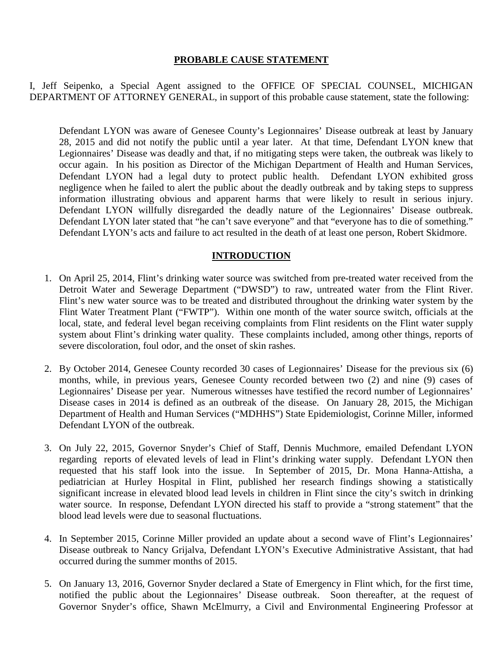## **PROBABLE CAUSE STATEMENT**

I, Jeff Seipenko, a Special Agent assigned to the OFFICE OF SPECIAL COUNSEL, MICHIGAN DEPARTMENT OF ATTORNEY GENERAL, in support of this probable cause statement, state the following:

Defendant LYON was aware of Genesee County's Legionnaires' Disease outbreak at least by January 28, 2015 and did not notify the public until a year later. At that time, Defendant LYON knew that Legionnaires' Disease was deadly and that, if no mitigating steps were taken, the outbreak was likely to occur again. In his position as Director of the Michigan Department of Health and Human Services, Defendant LYON had a legal duty to protect public health. Defendant LYON exhibited gross negligence when he failed to alert the public about the deadly outbreak and by taking steps to suppress information illustrating obvious and apparent harms that were likely to result in serious injury. Defendant LYON willfully disregarded the deadly nature of the Legionnaires' Disease outbreak. Defendant LYON later stated that "he can't save everyone" and that "everyone has to die of something." Defendant LYON's acts and failure to act resulted in the death of at least one person, Robert Skidmore.

## **INTRODUCTION**

- 1. On April 25, 2014, Flint's drinking water source was switched from pre-treated water received from the Detroit Water and Sewerage Department ("DWSD") to raw, untreated water from the Flint River. Flint's new water source was to be treated and distributed throughout the drinking water system by the Flint Water Treatment Plant ("FWTP"). Within one month of the water source switch, officials at the local, state, and federal level began receiving complaints from Flint residents on the Flint water supply system about Flint's drinking water quality. These complaints included, among other things, reports of severe discoloration, foul odor, and the onset of skin rashes.
- 2. By October 2014, Genesee County recorded 30 cases of Legionnaires' Disease for the previous six (6) months, while, in previous years, Genesee County recorded between two (2) and nine (9) cases of Legionnaires' Disease per year. Numerous witnesses have testified the record number of Legionnaires' Disease cases in 2014 is defined as an outbreak of the disease. On January 28, 2015, the Michigan Department of Health and Human Services ("MDHHS") State Epidemiologist, Corinne Miller, informed Defendant LYON of the outbreak.
- 3. On July 22, 2015, Governor Snyder's Chief of Staff, Dennis Muchmore, emailed Defendant LYON regarding reports of elevated levels of lead in Flint's drinking water supply. Defendant LYON then requested that his staff look into the issue. In September of 2015, Dr. Mona Hanna-Attisha, a pediatrician at Hurley Hospital in Flint, published her research findings showing a statistically significant increase in elevated blood lead levels in children in Flint since the city's switch in drinking water source. In response, Defendant LYON directed his staff to provide a "strong statement" that the blood lead levels were due to seasonal fluctuations.
- 4. In September 2015, Corinne Miller provided an update about a second wave of Flint's Legionnaires' Disease outbreak to Nancy Grijalva, Defendant LYON's Executive Administrative Assistant, that had occurred during the summer months of 2015.
- 5. On January 13, 2016, Governor Snyder declared a State of Emergency in Flint which, for the first time, notified the public about the Legionnaires' Disease outbreak. Soon thereafter, at the request of Governor Snyder's office, Shawn McElmurry, a Civil and Environmental Engineering Professor at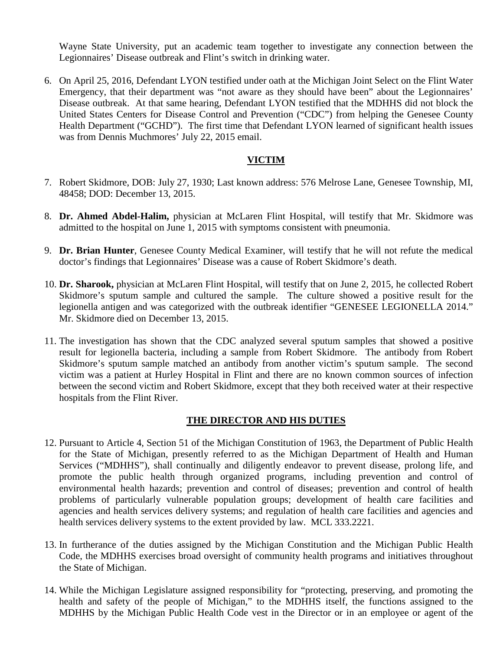Wayne State University, put an academic team together to investigate any connection between the Legionnaires' Disease outbreak and Flint's switch in drinking water.

6. On April 25, 2016, Defendant LYON testified under oath at the Michigan Joint Select on the Flint Water Emergency, that their department was "not aware as they should have been" about the Legionnaires' Disease outbreak. At that same hearing, Defendant LYON testified that the MDHHS did not block the United States Centers for Disease Control and Prevention ("CDC") from helping the Genesee County Health Department ("GCHD"). The first time that Defendant LYON learned of significant health issues was from Dennis Muchmores' July 22, 2015 email.

## **VICTIM**

- 7. Robert Skidmore, DOB: July 27, 1930; Last known address: 576 Melrose Lane, Genesee Township, MI, 48458; DOD: December 13, 2015.
- 8. **Dr. Ahmed Abdel-Halim,** physician at McLaren Flint Hospital, will testify that Mr. Skidmore was admitted to the hospital on June 1, 2015 with symptoms consistent with pneumonia.
- 9. **Dr. Brian Hunter**, Genesee County Medical Examiner, will testify that he will not refute the medical doctor's findings that Legionnaires' Disease was a cause of Robert Skidmore's death.
- 10. **Dr. Sharook,** physician at McLaren Flint Hospital, will testify that on June 2, 2015, he collected Robert Skidmore's sputum sample and cultured the sample. The culture showed a positive result for the legionella antigen and was categorized with the outbreak identifier "GENESEE LEGIONELLA 2014." Mr. Skidmore died on December 13, 2015.
- 11. The investigation has shown that the CDC analyzed several sputum samples that showed a positive result for legionella bacteria, including a sample from Robert Skidmore. The antibody from Robert Skidmore's sputum sample matched an antibody from another victim's sputum sample. The second victim was a patient at Hurley Hospital in Flint and there are no known common sources of infection between the second victim and Robert Skidmore, except that they both received water at their respective hospitals from the Flint River.

#### **THE DIRECTOR AND HIS DUTIES**

- 12. Pursuant to Article 4, Section 51 of the Michigan Constitution of 1963, the Department of Public Health for the State of Michigan, presently referred to as the Michigan Department of Health and Human Services ("MDHHS"), shall continually and diligently endeavor to prevent disease, prolong life, and promote the public health through organized programs, including prevention and control of environmental health hazards; prevention and control of diseases; prevention and control of health problems of particularly vulnerable population groups; development of health care facilities and agencies and health services delivery systems; and regulation of health care facilities and agencies and health services delivery systems to the extent provided by law. MCL 333.2221.
- 13. In furtherance of the duties assigned by the Michigan Constitution and the Michigan Public Health Code, the MDHHS exercises broad oversight of community health programs and initiatives throughout the State of Michigan.
- 14. While the Michigan Legislature assigned responsibility for "protecting, preserving, and promoting the health and safety of the people of Michigan," to the MDHHS itself, the functions assigned to the MDHHS by the Michigan Public Health Code vest in the Director or in an employee or agent of the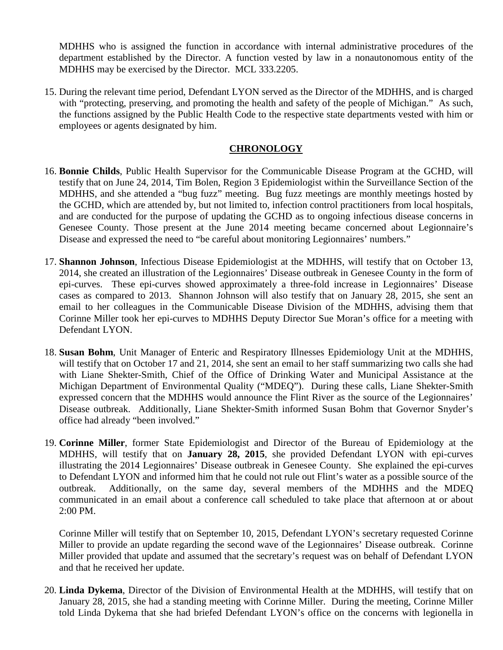MDHHS who is assigned the function in accordance with internal administrative procedures of the department established by the Director. A function vested by law in a nonautonomous entity of the MDHHS may be exercised by the Director. MCL 333.2205.

15. During the relevant time period, Defendant LYON served as the Director of the MDHHS, and is charged with "protecting, preserving, and promoting the health and safety of the people of Michigan." As such, the functions assigned by the Public Health Code to the respective state departments vested with him or employees or agents designated by him.

## **CHRONOLOGY**

- 16. **Bonnie Childs**, Public Health Supervisor for the Communicable Disease Program at the GCHD, will testify that on June 24, 2014, Tim Bolen, Region 3 Epidemiologist within the Surveillance Section of the MDHHS, and she attended a "bug fuzz" meeting. Bug fuzz meetings are monthly meetings hosted by the GCHD, which are attended by, but not limited to, infection control practitioners from local hospitals, and are conducted for the purpose of updating the GCHD as to ongoing infectious disease concerns in Genesee County. Those present at the June 2014 meeting became concerned about Legionnaire's Disease and expressed the need to "be careful about monitoring Legionnaires' numbers."
- 17. **Shannon Johnson**, Infectious Disease Epidemiologist at the MDHHS, will testify that on October 13, 2014, she created an illustration of the Legionnaires' Disease outbreak in Genesee County in the form of epi-curves. These epi-curves showed approximately a three-fold increase in Legionnaires' Disease cases as compared to 2013. Shannon Johnson will also testify that on January 28, 2015, she sent an email to her colleagues in the Communicable Disease Division of the MDHHS, advising them that Corinne Miller took her epi-curves to MDHHS Deputy Director Sue Moran's office for a meeting with Defendant LYON.
- 18. **Susan Bohm**, Unit Manager of Enteric and Respiratory Illnesses Epidemiology Unit at the MDHHS, will testify that on October 17 and 21, 2014, she sent an email to her staff summarizing two calls she had with Liane Shekter-Smith, Chief of the Office of Drinking Water and Municipal Assistance at the Michigan Department of Environmental Quality ("MDEQ"). During these calls, Liane Shekter-Smith expressed concern that the MDHHS would announce the Flint River as the source of the Legionnaires' Disease outbreak. Additionally, Liane Shekter-Smith informed Susan Bohm that Governor Snyder's office had already "been involved."
- 19. **Corinne Miller**, former State Epidemiologist and Director of the Bureau of Epidemiology at the MDHHS, will testify that on **January 28, 2015**, she provided Defendant LYON with epi-curves illustrating the 2014 Legionnaires' Disease outbreak in Genesee County. She explained the epi-curves to Defendant LYON and informed him that he could not rule out Flint's water as a possible source of the outbreak. Additionally, on the same day, several members of the MDHHS and the MDEQ communicated in an email about a conference call scheduled to take place that afternoon at or about 2:00 PM.

Corinne Miller will testify that on September 10, 2015, Defendant LYON's secretary requested Corinne Miller to provide an update regarding the second wave of the Legionnaires' Disease outbreak. Corinne Miller provided that update and assumed that the secretary's request was on behalf of Defendant LYON and that he received her update.

20. **Linda Dykema**, Director of the Division of Environmental Health at the MDHHS, will testify that on January 28, 2015, she had a standing meeting with Corinne Miller. During the meeting, Corinne Miller told Linda Dykema that she had briefed Defendant LYON's office on the concerns with legionella in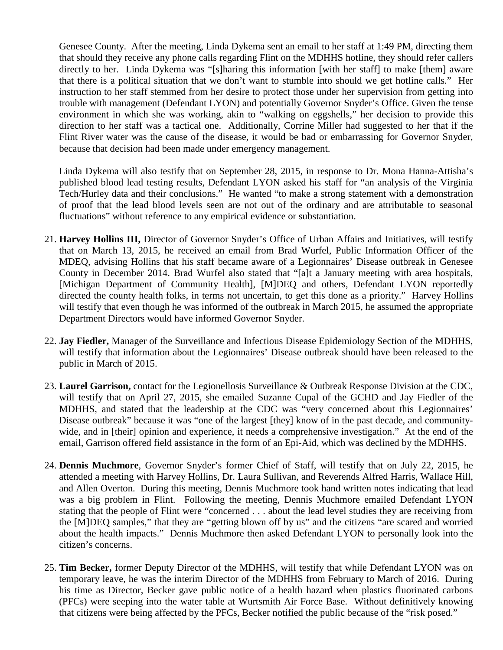Genesee County. After the meeting, Linda Dykema sent an email to her staff at 1:49 PM, directing them that should they receive any phone calls regarding Flint on the MDHHS hotline, they should refer callers directly to her. Linda Dykema was "[s]haring this information [with her staff] to make [them] aware that there is a political situation that we don't want to stumble into should we get hotline calls." Her instruction to her staff stemmed from her desire to protect those under her supervision from getting into trouble with management (Defendant LYON) and potentially Governor Snyder's Office. Given the tense environment in which she was working, akin to "walking on eggshells," her decision to provide this direction to her staff was a tactical one. Additionally, Corrine Miller had suggested to her that if the Flint River water was the cause of the disease, it would be bad or embarrassing for Governor Snyder, because that decision had been made under emergency management.

Linda Dykema will also testify that on September 28, 2015, in response to Dr. Mona Hanna-Attisha's published blood lead testing results, Defendant LYON asked his staff for "an analysis of the Virginia Tech/Hurley data and their conclusions." He wanted "to make a strong statement with a demonstration of proof that the lead blood levels seen are not out of the ordinary and are attributable to seasonal fluctuations" without reference to any empirical evidence or substantiation.

- 21. **Harvey Hollins III,** Director of Governor Snyder's Office of Urban Affairs and Initiatives, will testify that on March 13, 2015, he received an email from Brad Wurfel, Public Information Officer of the MDEQ, advising Hollins that his staff became aware of a Legionnaires' Disease outbreak in Genesee County in December 2014. Brad Wurfel also stated that "[a]t a January meeting with area hospitals, [Michigan Department of Community Health], [M]DEQ and others, Defendant LYON reportedly directed the county health folks, in terms not uncertain, to get this done as a priority." Harvey Hollins will testify that even though he was informed of the outbreak in March 2015, he assumed the appropriate Department Directors would have informed Governor Snyder.
- 22. **Jay Fiedler,** Manager of the Surveillance and Infectious Disease Epidemiology Section of the MDHHS, will testify that information about the Legionnaires' Disease outbreak should have been released to the public in March of 2015.
- 23. **Laurel Garrison,** contact for the Legionellosis Surveillance & Outbreak Response Division at the CDC, will testify that on April 27, 2015, she emailed Suzanne Cupal of the GCHD and Jay Fiedler of the MDHHS, and stated that the leadership at the CDC was "very concerned about this Legionnaires' Disease outbreak" because it was "one of the largest [they] know of in the past decade, and communitywide, and in [their] opinion and experience, it needs a comprehensive investigation." At the end of the email, Garrison offered field assistance in the form of an Epi-Aid, which was declined by the MDHHS.
- 24. **Dennis Muchmore**, Governor Snyder's former Chief of Staff, will testify that on July 22, 2015, he attended a meeting with Harvey Hollins, Dr. Laura Sullivan, and Reverends Alfred Harris, Wallace Hill, and Allen Overton. During this meeting, Dennis Muchmore took hand written notes indicating that lead was a big problem in Flint. Following the meeting, Dennis Muchmore emailed Defendant LYON stating that the people of Flint were "concerned . . . about the lead level studies they are receiving from the [M]DEQ samples," that they are "getting blown off by us" and the citizens "are scared and worried about the health impacts." Dennis Muchmore then asked Defendant LYON to personally look into the citizen's concerns.
- 25. **Tim Becker,** former Deputy Director of the MDHHS, will testify that while Defendant LYON was on temporary leave, he was the interim Director of the MDHHS from February to March of 2016. During his time as Director, Becker gave public notice of a health hazard when plastics fluorinated carbons (PFCs) were seeping into the water table at Wurtsmith Air Force Base. Without definitively knowing that citizens were being affected by the PFCs, Becker notified the public because of the "risk posed."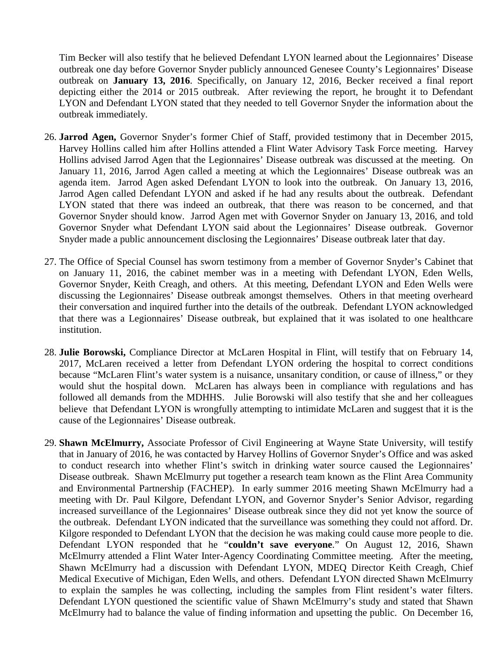Tim Becker will also testify that he believed Defendant LYON learned about the Legionnaires' Disease outbreak one day before Governor Snyder publicly announced Genesee County's Legionnaires' Disease outbreak on **January 13, 2016**. Specifically, on January 12, 2016, Becker received a final report depicting either the 2014 or 2015 outbreak. After reviewing the report, he brought it to Defendant LYON and Defendant LYON stated that they needed to tell Governor Snyder the information about the outbreak immediately.

- 26. **Jarrod Agen,** Governor Snyder's former Chief of Staff, provided testimony that in December 2015, Harvey Hollins called him after Hollins attended a Flint Water Advisory Task Force meeting. Harvey Hollins advised Jarrod Agen that the Legionnaires' Disease outbreak was discussed at the meeting. On January 11, 2016, Jarrod Agen called a meeting at which the Legionnaires' Disease outbreak was an agenda item. Jarrod Agen asked Defendant LYON to look into the outbreak. On January 13, 2016, Jarrod Agen called Defendant LYON and asked if he had any results about the outbreak. Defendant LYON stated that there was indeed an outbreak, that there was reason to be concerned, and that Governor Snyder should know. Jarrod Agen met with Governor Snyder on January 13, 2016, and told Governor Snyder what Defendant LYON said about the Legionnaires' Disease outbreak. Governor Snyder made a public announcement disclosing the Legionnaires' Disease outbreak later that day.
- 27. The Office of Special Counsel has sworn testimony from a member of Governor Snyder's Cabinet that on January 11, 2016, the cabinet member was in a meeting with Defendant LYON, Eden Wells, Governor Snyder, Keith Creagh, and others. At this meeting, Defendant LYON and Eden Wells were discussing the Legionnaires' Disease outbreak amongst themselves. Others in that meeting overheard their conversation and inquired further into the details of the outbreak. Defendant LYON acknowledged that there was a Legionnaires' Disease outbreak, but explained that it was isolated to one healthcare institution.
- 28. **Julie Borowski,** Compliance Director at McLaren Hospital in Flint, will testify that on February 14, 2017, McLaren received a letter from Defendant LYON ordering the hospital to correct conditions because "McLaren Flint's water system is a nuisance, unsanitary condition, or cause of illness," or they would shut the hospital down. McLaren has always been in compliance with regulations and has followed all demands from the MDHHS. Julie Borowski will also testify that she and her colleagues believe that Defendant LYON is wrongfully attempting to intimidate McLaren and suggest that it is the cause of the Legionnaires' Disease outbreak.
- 29. **Shawn McElmurry,** Associate Professor of Civil Engineering at Wayne State University, will testify that in January of 2016, he was contacted by Harvey Hollins of Governor Snyder's Office and was asked to conduct research into whether Flint's switch in drinking water source caused the Legionnaires' Disease outbreak. Shawn McElmurry put together a research team known as the Flint Area Community and Environmental Partnership (FACHEP). In early summer 2016 meeting Shawn McElmurry had a meeting with Dr. Paul Kilgore, Defendant LYON, and Governor Snyder's Senior Advisor, regarding increased surveillance of the Legionnaires' Disease outbreak since they did not yet know the source of the outbreak. Defendant LYON indicated that the surveillance was something they could not afford. Dr. Kilgore responded to Defendant LYON that the decision he was making could cause more people to die. Defendant LYON responded that he "**couldn't save everyone**." On August 12, 2016, Shawn McElmurry attended a Flint Water Inter-Agency Coordinating Committee meeting. After the meeting, Shawn McElmurry had a discussion with Defendant LYON, MDEQ Director Keith Creagh, Chief Medical Executive of Michigan, Eden Wells, and others. Defendant LYON directed Shawn McElmurry to explain the samples he was collecting, including the samples from Flint resident's water filters. Defendant LYON questioned the scientific value of Shawn McElmurry's study and stated that Shawn McElmurry had to balance the value of finding information and upsetting the public. On December 16,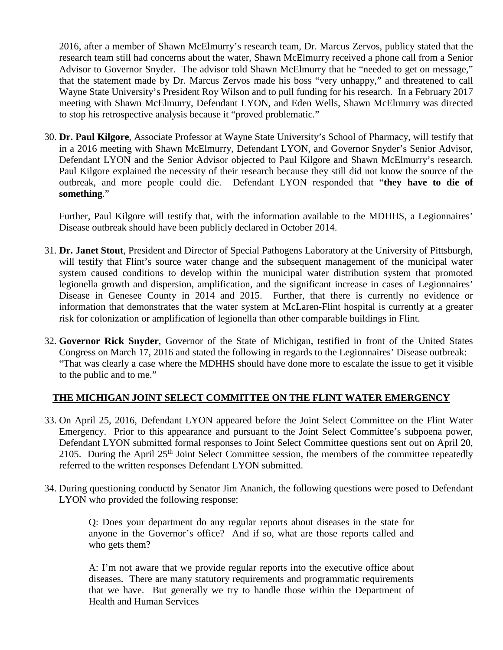2016, after a member of Shawn McElmurry's research team, Dr. Marcus Zervos, publicy stated that the research team still had concerns about the water, Shawn McElmurry received a phone call from a Senior Advisor to Governor Snyder. The advisor told Shawn McElmurry that he "needed to get on message," that the statement made by Dr. Marcus Zervos made his boss "very unhappy," and threatened to call Wayne State University's President Roy Wilson and to pull funding for his research. In a February 2017 meeting with Shawn McElmurry, Defendant LYON, and Eden Wells, Shawn McElmurry was directed to stop his retrospective analysis because it "proved problematic."

30. **Dr. Paul Kilgore**, Associate Professor at Wayne State University's School of Pharmacy, will testify that in a 2016 meeting with Shawn McElmurry, Defendant LYON, and Governor Snyder's Senior Advisor, Defendant LYON and the Senior Advisor objected to Paul Kilgore and Shawn McElmurry's research. Paul Kilgore explained the necessity of their research because they still did not know the source of the outbreak, and more people could die. Defendant LYON responded that "**they have to die of something**."

Further, Paul Kilgore will testify that, with the information available to the MDHHS, a Legionnaires' Disease outbreak should have been publicly declared in October 2014.

- 31. **Dr. Janet Stout**, President and Director of Special Pathogens Laboratory at the University of Pittsburgh, will testify that Flint's source water change and the subsequent management of the municipal water system caused conditions to develop within the municipal water distribution system that promoted legionella growth and dispersion, amplification, and the significant increase in cases of Legionnaires' Disease in Genesee County in 2014 and 2015. Further, that there is currently no evidence or information that demonstrates that the water system at McLaren-Flint hospital is currently at a greater risk for colonization or amplification of legionella than other comparable buildings in Flint.
- 32. **Governor Rick Snyder**, Governor of the State of Michigan, testified in front of the United States Congress on March 17, 2016 and stated the following in regards to the Legionnaires' Disease outbreak: "That was clearly a case where the MDHHS should have done more to escalate the issue to get it visible to the public and to me."

#### **THE MICHIGAN JOINT SELECT COMMITTEE ON THE FLINT WATER EMERGENCY**

- 33. On April 25, 2016, Defendant LYON appeared before the Joint Select Committee on the Flint Water Emergency. Prior to this appearance and pursuant to the Joint Select Committee's subpoena power, Defendant LYON submitted formal responses to Joint Select Committee questions sent out on April 20, 2105. During the April 25<sup>th</sup> Joint Select Committee session, the members of the committee repeatedly referred to the written responses Defendant LYON submitted.
- 34. During questioning conductd by Senator Jim Ananich, the following questions were posed to Defendant LYON who provided the following response:

Q: Does your department do any regular reports about diseases in the state for anyone in the Governor's office? And if so, what are those reports called and who gets them?

A: I'm not aware that we provide regular reports into the executive office about diseases. There are many statutory requirements and programmatic requirements that we have. But generally we try to handle those within the Department of Health and Human Services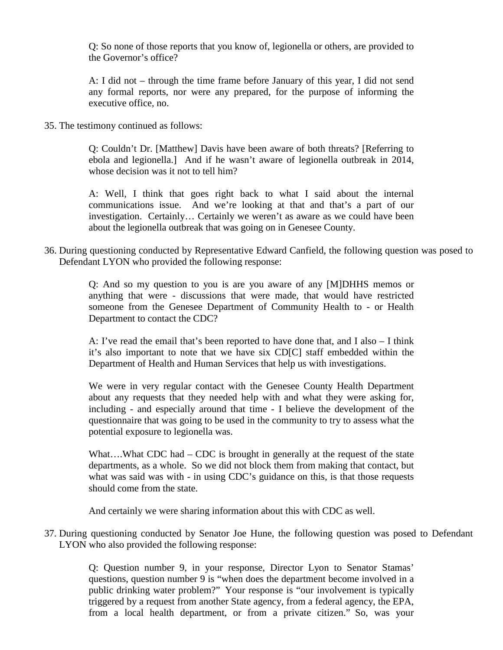Q: So none of those reports that you know of, legionella or others, are provided to the Governor's office?

A: I did not – through the time frame before January of this year, I did not send any formal reports, nor were any prepared, for the purpose of informing the executive office, no.

35. The testimony continued as follows:

Q: Couldn't Dr. [Matthew] Davis have been aware of both threats? [Referring to ebola and legionella.] And if he wasn't aware of legionella outbreak in 2014, whose decision was it not to tell him?

A: Well, I think that goes right back to what I said about the internal communications issue. And we're looking at that and that's a part of our investigation. Certainly… Certainly we weren't as aware as we could have been about the legionella outbreak that was going on in Genesee County.

36. During questioning conducted by Representative Edward Canfield, the following question was posed to Defendant LYON who provided the following response:

> Q: And so my question to you is are you aware of any [M]DHHS memos or anything that were - discussions that were made, that would have restricted someone from the Genesee Department of Community Health to - or Health Department to contact the CDC?

> A: I've read the email that's been reported to have done that, and I also – I think it's also important to note that we have six CD[C] staff embedded within the Department of Health and Human Services that help us with investigations.

> We were in very regular contact with the Genesee County Health Department about any requests that they needed help with and what they were asking for, including - and especially around that time - I believe the development of the questionnaire that was going to be used in the community to try to assess what the potential exposure to legionella was.

> What....What CDC had – CDC is brought in generally at the request of the state departments, as a whole. So we did not block them from making that contact, but what was said was with - in using CDC's guidance on this, is that those requests should come from the state.

And certainly we were sharing information about this with CDC as well.

37. During questioning conducted by Senator Joe Hune, the following question was posed to Defendant LYON who also provided the following response:

> Q: Question number 9, in your response, Director Lyon to Senator Stamas' questions, question number 9 is "when does the department become involved in a public drinking water problem?" Your response is "our involvement is typically triggered by a request from another State agency, from a federal agency, the EPA, from a local health department, or from a private citizen." So, was your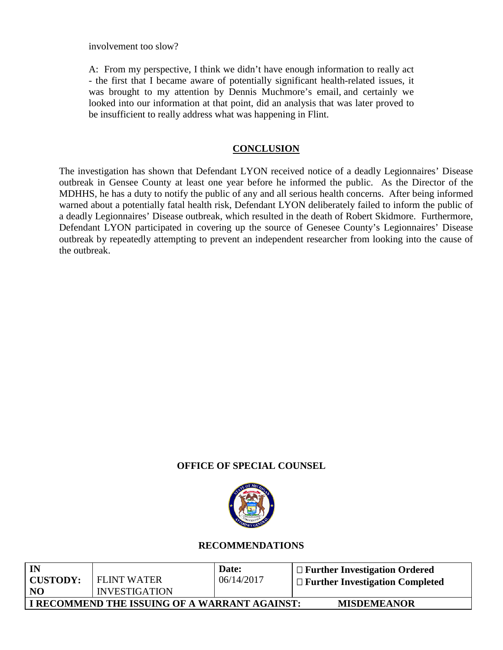involvement too slow?

A: From my perspective, I think we didn't have enough information to really act - the first that I became aware of potentially significant health-related issues, it was brought to my attention by Dennis Muchmore's email, and certainly we looked into our information at that point, did an analysis that was later proved to be insufficient to really address what was happening in Flint.

## **CONCLUSION**

The investigation has shown that Defendant LYON received notice of a deadly Legionnaires' Disease outbreak in Gensee County at least one year before he informed the public. As the Director of the MDHHS, he has a duty to notify the public of any and all serious health concerns. After being informed warned about a potentially fatal health risk, Defendant LYON deliberately failed to inform the public of a deadly Legionnaires' Disease outbreak, which resulted in the death of Robert Skidmore. Furthermore, Defendant LYON participated in covering up the source of Genesee County's Legionnaires' Disease outbreak by repeatedly attempting to prevent an independent researcher from looking into the cause of the outbreak.

## **OFFICE OF SPECIAL COUNSEL**



## **RECOMMENDATIONS**

| IN        |                                               | Date:      | $\Box$ Further Investigation Ordered   |
|-----------|-----------------------------------------------|------------|----------------------------------------|
| CUSTODY:  | FLINT WATER                                   | 06/14/2017 | $\Box$ Further Investigation Completed |
| <b>NO</b> | <b>INVESTIGATION</b>                          |            |                                        |
|           | I RECOMMEND THE ISSUING OF A WARRANT AGAINST: |            | <b>MISDEMEANOR</b>                     |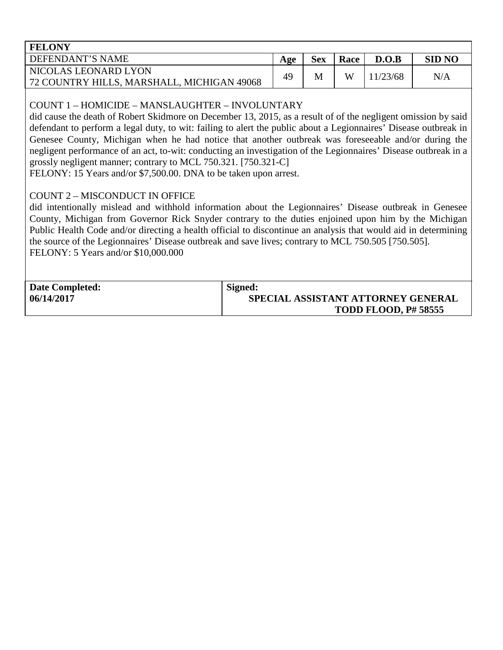| <b>FELONY</b>                              |     |            |      |         |               |
|--------------------------------------------|-----|------------|------|---------|---------------|
| DEFENDANT'S NAME                           | Age | <b>Sex</b> | Race | D.O.B   | <b>SID NO</b> |
| NICOLAS LEONARD LYON                       | 49  | M          | W    | 1/23/68 | N/A           |
| 72 COUNTRY HILLS, MARSHALL, MICHIGAN 49068 |     |            |      |         |               |

# COUNT 1 – HOMICIDE – MANSLAUGHTER – INVOLUNTARY

did cause the death of Robert Skidmore on December 13, 2015, as a result of of the negligent omission by said defendant to perform a legal duty, to wit: failing to alert the public about a Legionnaires' Disease outbreak in Genesee County, Michigan when he had notice that another outbreak was foreseeable and/or during the negligent performance of an act, to-wit: conducting an investigation of the Legionnaires' Disease outbreak in a grossly negligent manner; contrary to MCL 750.321. [750.321-C]

FELONY: 15 Years and/or \$7,500.00. DNA to be taken upon arrest.

# COUNT 2 – MISCONDUCT IN OFFICE

did intentionally mislead and withhold information about the Legionnaires' Disease outbreak in Genesee County, Michigan from Governor Rick Snyder contrary to the duties enjoined upon him by the Michigan Public Health Code and/or directing a health official to discontinue an analysis that would aid in determining the source of the Legionnaires' Disease outbreak and save lives; contrary to MCL 750.505 [750.505]. FELONY: 5 Years and/or \$10,000.000

| <b>Date Completed:</b> | Signed:                            |
|------------------------|------------------------------------|
| 06/14/2017             | SPECIAL ASSISTANT ATTORNEY GENERAL |
|                        | <b>TODD FLOOD, P# 58555</b>        |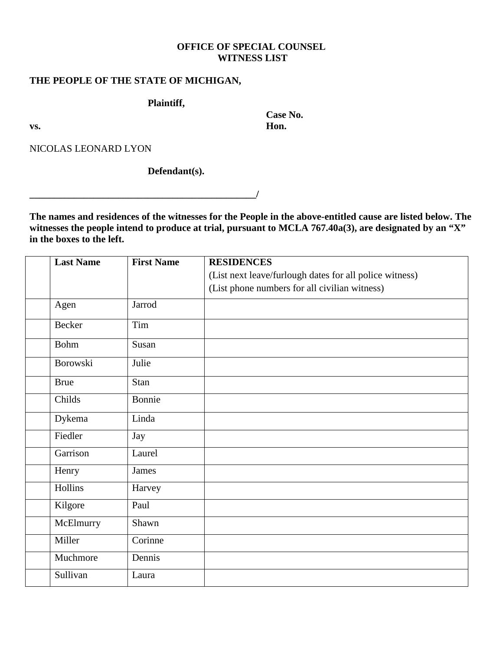## **OFFICE OF SPECIAL COUNSEL WITNESS LIST**

 **Case No.** 

#### **THE PEOPLE OF THE STATE OF MICHIGAN,**

**Plaintiff,** 

**vs. Hon.** 

NICOLAS LEONARD LYON

### **Defendant(s).**

**\_\_\_\_\_\_\_\_\_\_\_\_\_\_\_\_\_\_\_\_\_\_\_\_\_\_\_\_\_\_\_\_\_\_\_\_\_\_\_\_\_\_\_\_\_\_/**

**The names and residences of the witnesses for the People in the above-entitled cause are listed below. The witnesses the people intend to produce at trial, pursuant to MCLA 767.40a(3), are designated by an "X" in the boxes to the left.**

| <b>Last Name</b> | <b>First Name</b> | <b>RESIDENCES</b>                                       |
|------------------|-------------------|---------------------------------------------------------|
|                  |                   | (List next leave/furlough dates for all police witness) |
|                  |                   | (List phone numbers for all civilian witness)           |
| Agen             | Jarrod            |                                                         |
| Becker           | Tim               |                                                         |
| <b>Bohm</b>      | Susan             |                                                         |
| Borowski         | Julie             |                                                         |
| <b>Brue</b>      | Stan              |                                                         |
| Childs           | Bonnie            |                                                         |
| Dykema           | Linda             |                                                         |
| Fiedler          | Jay               |                                                         |
| Garrison         | Laurel            |                                                         |
| Henry            | James             |                                                         |
| Hollins          | Harvey            |                                                         |
| Kilgore          | Paul              |                                                         |
| McElmurry        | Shawn             |                                                         |
| Miller           | Corinne           |                                                         |
| Muchmore         | Dennis            |                                                         |
| Sullivan         | Laura             |                                                         |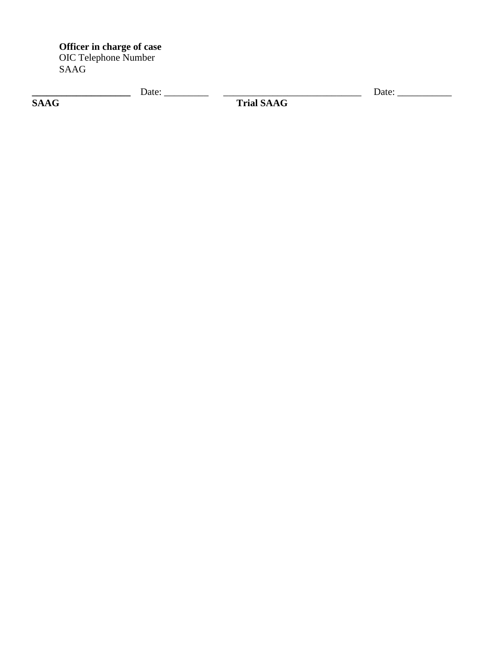**Officer in charge of case** OIC Telephone Number SAAG

|                             | 101c<br>Dalt. |                    | 19t<br>Daw - |
|-----------------------------|---------------|--------------------|--------------|
| $C$ $\Lambda$<br>$\sqrt{ }$ |               | $\mathbf{Trial}$ . |              |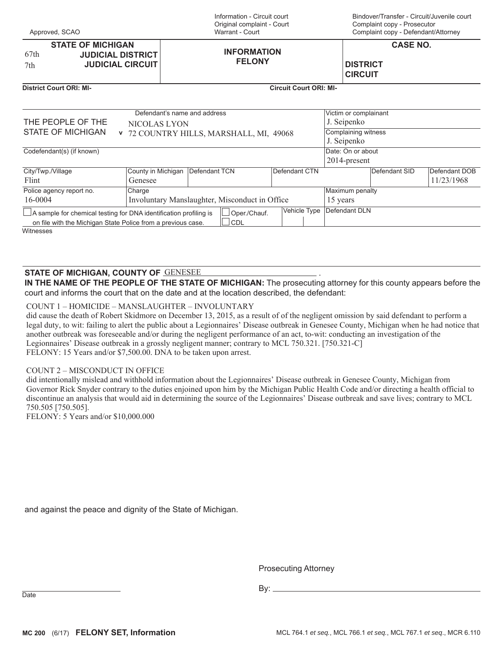Information - Circuit court Original complaint - Court Warrant - Court

Bindover/Transfer - Circuit/Juvenile court Complaint copy - Prosecutor Complaint copy - Defendant/Attorney

|      | <b>STATE OF MICHIGAN</b> |                    | <b>CASE NO.</b> |
|------|--------------------------|--------------------|-----------------|
| 67th | <b>JUDICIAL DISTRICT</b> | <b>INFORMATION</b> |                 |
| 7th  | <b>JUDICIAL CIRCUIT</b>  | <b>FELONY</b>      | <b>DISTRICT</b> |
|      |                          |                    | <b>CIRCUIT</b>  |

**District Court ORI: MI- Circuit Court ORI: MI-**

|                                                                          | Defendant's name and address |                                                |               | Victim or complainant |               |               |  |
|--------------------------------------------------------------------------|------------------------------|------------------------------------------------|---------------|-----------------------|---------------|---------------|--|
| THE PEOPLE OF THE                                                        | NICOLAS LYON                 |                                                |               | J. Seipenko           |               |               |  |
| STATE OF MICHIGAN                                                        |                              | v 72 COUNTRY HILLS, MARSHALL, MI, 49068        |               | Complaining witness   |               |               |  |
|                                                                          |                              |                                                |               | J. Seipenko           |               |               |  |
| Codefendant(s) (if known)                                                |                              |                                                |               | Date: On or about     |               |               |  |
|                                                                          |                              |                                                |               | 2014-present          |               |               |  |
| City/Twp./Village                                                        | County in Michigan           | Defendant TCN                                  | Defendant CTN |                       | Defendant SID | Defendant DOB |  |
| Flint                                                                    | Genesee                      |                                                |               |                       |               | 11/23/1968    |  |
| Police agency report no.                                                 | Charge                       |                                                |               | Maximum penalty       |               |               |  |
| 16-0004                                                                  |                              | Involuntary Manslaughter, Misconduct in Office |               | 15 years              |               |               |  |
| $\Box$ A sample for chemical testing for DNA identification profiling is |                              | Oper./Chauf.                                   | Vehicle Type  | Defendant DLN         |               |               |  |
| on file with the Michigan State Police from a previous case.             |                              | CDL                                            |               |                       |               |               |  |
| Witnesses                                                                |                              |                                                |               |                       |               |               |  |

#### **STATE OF MICHIGAN, COUNTY OF** . \*(1(6((

**IN THE NAME OF THE PEOPLE OF THE STATE OF MICHIGAN:** The prosecuting attorney for this county appears before the court and informs the court that on the date and at the location described, the defendant:

#### COUNT 1 - HOMICIDE - MANSLAUGHTER - INVOLUNTARY

did cause the death of Robert Skidmore on December 13, 2015, as a result of of the negligent omission by said defendant to perform a legal duty, to wit: failing to alert the public about a Legionnaires' Disease outbreak in Genesee County, Michigan when he had notice that another outbreak was foreseeable and/or during the negligent performance of an act, to-wit: conducting an investigation of the Legionnaires' Disease outbreak in a grossly negligent manner; contrary to MCL 750.321. [750.321-C] FELONY: 15 Years and/or \$7,500.00. DNA to be taken upon arrest.

#### COUNT 2 - MISCONDUCT IN OFFICE

did intentionally mislead and withhold information about the Legionnaires' Disease outbreak in Genesee County, Michigan from Governor Rick Snyder contrary to the duties enjoined upon him by the Michigan Public Health Code and/or directing a health official to discontinue an analysis that would aid in determining the source of the Legionnaires' Disease outbreak and save lives; contrary to MCL 750.505 [750.505].

FELONY: 5 Years and/or \$10,000.000

and against the peace and dignity of the State of Michigan.

Prosecuting Attorney

Date By: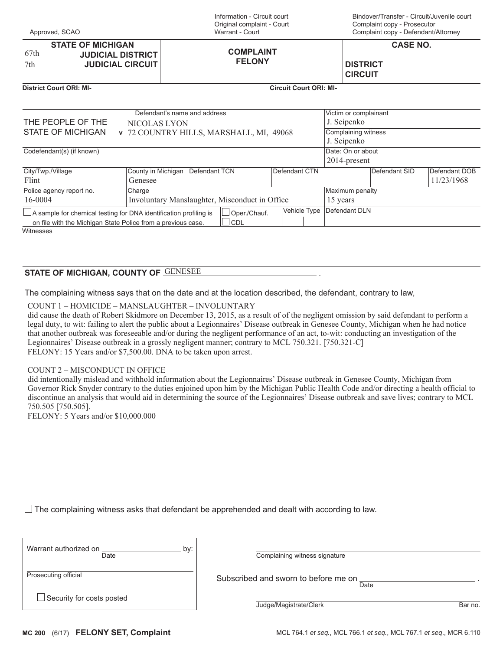Bindover/Transfer - Circuit/Juvenile court Complaint copy - Prosecutor Complaint copy - Defendant/Attorney

|      | <b>STATE OF MICHIGAN</b>  |                  | <b>CASE NO.</b> |
|------|---------------------------|------------------|-----------------|
| 67th | <b>JUDICIAL DISTRICT</b>  | <b>COMPLAINT</b> |                 |
| 7th  | <b>JUDICIAL CIRCUIT  </b> | <b>FELONY</b>    | <b>DISTRICT</b> |
|      |                           |                  | <b>CIRCUIT</b>  |

#### **District Court ORI: MI- Circuit Court ORI: MI-**

Approved, SCAO

|                                                                          | Defendant's name and address |                                                |               | Victim or complainant |               |               |
|--------------------------------------------------------------------------|------------------------------|------------------------------------------------|---------------|-----------------------|---------------|---------------|
| THE PEOPLE OF THE                                                        | NICOLAS LYON                 |                                                |               | J. Seipenko           |               |               |
| STATE OF MICHIGAN                                                        |                              | v 72 COUNTRY HILLS, MARSHALL, MI, 49068        |               | Complaining witness   |               |               |
|                                                                          |                              |                                                |               | J. Seipenko           |               |               |
| Codefendant(s) (if known)                                                |                              |                                                |               | Date: On or about     |               |               |
|                                                                          |                              |                                                |               | $2014$ -present       |               |               |
| City/Twp./Village                                                        | County in Michigan           | Defendant TCN                                  | Defendant CTN |                       | Defendant SID | Defendant DOB |
| Flint                                                                    | Genesee                      |                                                |               |                       |               | 11/23/1968    |
| Police agency report no.                                                 | Charge                       |                                                |               | Maximum penalty       |               |               |
| 16-0004                                                                  |                              | Involuntary Manslaughter, Misconduct in Office |               | 15 years              |               |               |
| $\Box$ A sample for chemical testing for DNA identification profiling is |                              | Oper./Chauf.                                   | Vehicle Type  | Defendant DLN         |               |               |
| on file with the Michigan State Police from a previous case.             |                              | <b>CDL</b>                                     |               |                       |               |               |
| Witnesses                                                                |                              |                                                |               |                       |               |               |

 $\begin{array}{|c|c|c|}\hline \texttt{STATE OF MICHIGAN, COUNTY OF} & \texttt{GENESEE} \hline \end{array} \hspace{2cm} .$ 

The complaining witness says that on the date and at the location described, the defendant, contrary to law,

COUNT 1 - HOMICIDE - MANSLAUGHTER - INVOLUNTARY

did cause the death of Robert Skidmore on December 13, 2015, as a result of of the negligent omission by said defendant to perform a legal duty, to wit: failing to alert the public about a Legionnaires' Disease outbreak in Genesee County, Michigan when he had notice that another outbreak was foreseeable and/or during the negligent performance of an act, to-wit: conducting an investigation of the Legionnaires' Disease outbreak in a grossly negligent manner; contrary to MCL 750.321. [750.321-C] FELONY: 15 Years and/or \$7,500.00. DNA to be taken upon arrest.

#### COUNT 2 - MISCONDUCT IN OFFICE

did intentionally mislead and withhold information about the Legionnaires' Disease outbreak in Genesee County, Michigan from Governor Rick Snyder contrary to the duties enjoined upon him by the Michigan Public Health Code and/or directing a health official to discontinue an analysis that would aid in determining the source of the Legionnaires' Disease outbreak and save lives; contrary to MCL 750.505 [750.505].

FELONY: 5 Years and/or \$10,000.000

 $\Box$  The complaining witness asks that defendant be apprehended and dealt with according to law.

| Warrant authorized on<br>bv: |                               |
|------------------------------|-------------------------------|
| Date                         | Complaining witness signature |
|                              |                               |

Subscribed and sworn to before me on  $\frac{1}{\text{Date}}$ 

Date .

Prosecuting official

△ Security for costs posted by the cost of the cost of the cost of the cost of the cost of the cost of the cost of the cost of the cost of the cost of the cost of the cost of the cost of the cost of the cost of the cost o  $\Box$  Security for costs posted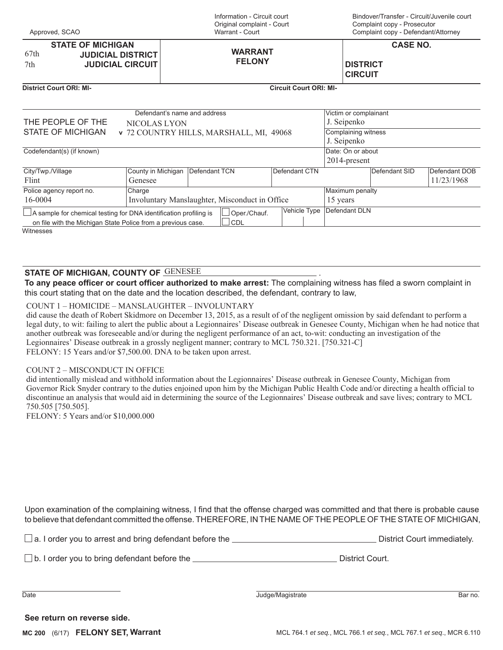| Approved, SCAO |  |
|----------------|--|
|                |  |

Information - Circuit court Original complaint - Court Warrant - Court

Bindover/Transfer - Circuit/Juvenile court Complaint copy - Prosecutor Complaint copy - Defendant/Attorney

|      | <b>STATE OF MICHIGAN</b>                            |                | <b>CASE NO.</b> |  |
|------|-----------------------------------------------------|----------------|-----------------|--|
| 67th | <b>JUDICIAL DISTRICT</b><br><b>JUDICIAL CIRCUIT</b> | <b>WARRANT</b> |                 |  |
| 7th  |                                                     | <b>FELONY</b>  | <b>DISTRICT</b> |  |
|      |                                                     |                | <b>CIRCUIT</b>  |  |

**District Court ORI: MI- Circuit Court ORI: MI-**

|                                                                                                          | Defendant's name and address |                                                |               | Victim or complainant |                     |               |  |
|----------------------------------------------------------------------------------------------------------|------------------------------|------------------------------------------------|---------------|-----------------------|---------------------|---------------|--|
| THE PEOPLE OF THE                                                                                        | NICOLAS LYON                 |                                                |               |                       |                     |               |  |
| <b>STATE OF MICHIGAN</b>                                                                                 |                              | v 72 COUNTRY HILLS, MARSHALL, MI, 49068        |               |                       | Complaining witness |               |  |
|                                                                                                          |                              |                                                |               |                       |                     |               |  |
| Codefendant(s) (if known)                                                                                |                              |                                                |               |                       | Date: On or about   |               |  |
|                                                                                                          |                              |                                                |               | 2014-present          |                     |               |  |
| City/Twp./Village                                                                                        | County in Michigan           | Defendant TCN                                  | Defendant CTN |                       | Defendant SID       | Defendant DOB |  |
| Flint                                                                                                    | Genesee                      |                                                |               |                       |                     | 11/23/1968    |  |
| Police agency report no.                                                                                 | Charge                       |                                                |               |                       | Maximum penalty     |               |  |
| 16-0004                                                                                                  |                              | Involuntary Manslaughter, Misconduct in Office |               |                       |                     |               |  |
| Vehicle Type<br>$\Box$ A sample for chemical testing for DNA identification profiling is<br>Oper./Chauf. |                              |                                                |               |                       | Defendant DLN       |               |  |
| on file with the Michigan State Police from a previous case.                                             |                              | <b>CDL</b>                                     |               |                       |                     |               |  |
| Witnesses                                                                                                |                              |                                                |               |                       |                     |               |  |

## $\begin{array}{|c|c|c|}\hline \texttt{STATE OF MICHIGAN, COUNTY OF} & \texttt{GENESEE} \hline \end{array} \hspace{2cm} .$

**To any peace officer or court officer authorized to make arrest:** The complaining witness has filed a sworn complaint in this court stating that on the date and the location described, the defendant, contrary to law,

#### COUNT 1 - HOMICIDE - MANSLAUGHTER - INVOLUNTARY

did cause the death of Robert Skidmore on December 13, 2015, as a result of of the negligent omission by said defendant to perform a legal duty, to wit: failing to alert the public about a Legionnaires' Disease outbreak in Genesee County, Michigan when he had notice that another outbreak was foreseeable and/or during the negligent performance of an act, to-wit: conducting an investigation of the Legionnaires' Disease outbreak in a grossly negligent manner; contrary to MCL 750.321. [750.321-C] FELONY: 15 Years and/or \$7,500.00. DNA to be taken upon arrest.

#### COUNT 2 - MISCONDUCT IN OFFICE

did intentionally mislead and withhold information about the Legionnaires' Disease outbreak in Genesee County, Michigan from Governor Rick Snyder contrary to the duties enjoined upon him by the Michigan Public Health Code and/or directing a health official to discontinue an analysis that would aid in determining the source of the Legionnaires' Disease outbreak and save lives; contrary to MCL 750.505 [750.505].

FELONY: 5 Years and/or \$10,000.000

Upon examination of the complaining witness, I find that the offense charged was committed and that there is probable cause to believe that defendant committed the offense. THEREFORE, IN THE NAME OF THE PEOPLE OF THE STATE OF MICHIGAN,

| $\Box$ a. I order you to arrest and bring defendant before the $\Box$ | District Court immediately. |
|-----------------------------------------------------------------------|-----------------------------|
|                                                                       |                             |

 $\Box$  b. I order you to bring defendant before the  $\Box$  District Court.

Date **Date** Bar no.

**See return on reverse side.**

**MC 200** (6/17) **FELONY SET, Warrant**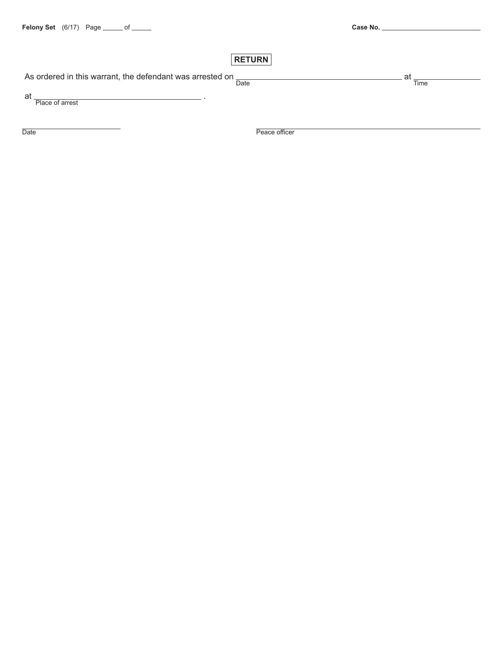# **RETURN**

As ordered in this warrant, the defendant was arrested on  $\frac{1}{\text{Date}}$ 

at  $\frac{1}{2}$  Place of arrest .

Date **Date** Peace officer

 $at_{\overline{\text{Time}}}$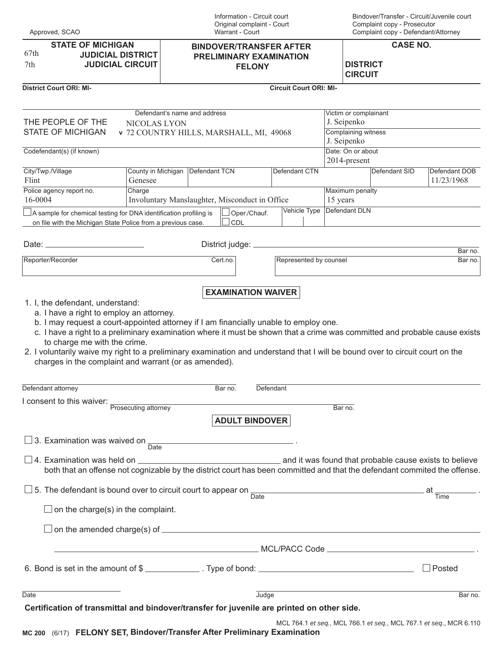| Approved, SCAO |  |
|----------------|--|
|----------------|--|

**STATE OF MICHIGAN JUDICIAL DISTRICT JUDICIAL CIRCUIT**  $67th$ 7th

#### Information - Circuit court Original complaint - Court Warrant - Court

**BINDOVER/TRANSFER AFTER PRELIMINARY EXAMINATION FELONY**

Bindover/Transfer - Circuit/Juvenile court Complaint copy - Prosecutor Complaint copy - Defendant/Attorney

**CASE NO.**

**DISTRICT CIRCUIT**

#### **District Court ORI: MI- Circuit Court ORI: MI-**

|                                                                                                                                                                                                                                                                                                                                                      | Defendant's name and address                  |                                                        |           |                        | Victim or complainant              |               |                                                                    |  |  |
|------------------------------------------------------------------------------------------------------------------------------------------------------------------------------------------------------------------------------------------------------------------------------------------------------------------------------------------------------|-----------------------------------------------|--------------------------------------------------------|-----------|------------------------|------------------------------------|---------------|--------------------------------------------------------------------|--|--|
| THE PEOPLE OF THE<br>NICOLAS LYON<br><b>STATE OF MICHIGAN</b><br>v 72 COUNTRY HILLS, MARSHALL, MI, 49068                                                                                                                                                                                                                                             |                                               |                                                        |           |                        | J. Seipenko<br>Complaining witness |               |                                                                    |  |  |
| J. Seipenko<br>Date: On or about<br>Codefendant(s) (if known)                                                                                                                                                                                                                                                                                        |                                               |                                                        |           |                        |                                    |               |                                                                    |  |  |
|                                                                                                                                                                                                                                                                                                                                                      |                                               |                                                        |           |                        |                                    | 2014-present  |                                                                    |  |  |
| City/Twp./Village<br>Flint                                                                                                                                                                                                                                                                                                                           | County in Michigan   Defendant TCN<br>Genesee |                                                        |           | Defendant CTN          |                                    | Defendant SID | Defendant DOB<br>11/23/1968                                        |  |  |
| Police agency report no.<br>16-0004                                                                                                                                                                                                                                                                                                                  | Charge                                        | Involuntary Manslaughter, Misconduct in Office         |           |                        | Maximum penalty<br>15 years        |               |                                                                    |  |  |
| $\vert$ A sample for chemical testing for DNA identification profiling is<br>on file with the Michigan State Police from a previous case.                                                                                                                                                                                                            |                                               | Oper./Chauf.<br>CDL                                    |           | Vehicle Type           | Defendant DLN                      |               |                                                                    |  |  |
|                                                                                                                                                                                                                                                                                                                                                      |                                               |                                                        |           |                        |                                    |               |                                                                    |  |  |
| Reporter/Recorder                                                                                                                                                                                                                                                                                                                                    |                                               | Cert.no.                                               |           | Represented by counsel |                                    |               | Bar no.<br>Bar no.                                                 |  |  |
|                                                                                                                                                                                                                                                                                                                                                      |                                               | <b>EXAMINATION WAIVER</b>                              |           |                        |                                    |               |                                                                    |  |  |
| c. I have a right to a preliminary examination where it must be shown that a crime was committed and probable cause exists<br>to charge me with the crime.<br>2. I voluntarily waive my right to a preliminary examination and understand that I will be bound over to circuit court on the<br>charges in the complaint and warrant (or as amended). |                                               |                                                        |           |                        |                                    |               |                                                                    |  |  |
| Defendant attorney                                                                                                                                                                                                                                                                                                                                   |                                               | Bar no.                                                | Defendant |                        |                                    |               |                                                                    |  |  |
| I consent to this waiver:                                                                                                                                                                                                                                                                                                                            | Prosecuting attorney                          |                                                        |           |                        | Bar no.                            |               |                                                                    |  |  |
|                                                                                                                                                                                                                                                                                                                                                      |                                               | <b>ADULT BINDOVER</b>                                  |           |                        |                                    |               |                                                                    |  |  |
| $\Box$ 3. Examination was waived on                                                                                                                                                                                                                                                                                                                  | Date                                          |                                                        |           |                        |                                    |               |                                                                    |  |  |
| $\Box$ 4. Examination was held on $\Box$<br>both that an offense not cognizable by the district court has been committed and that the defendant commited the offense.                                                                                                                                                                                |                                               | and it was found that probable cause exists to believe |           |                        |                                    |               |                                                                    |  |  |
| □ 5. The defendant is bound over to circuit court to appear on $\frac{1}{\text{Date}}$ and $\frac{1}{\text{Date}}$ at $\frac{1}{\text{Time}}$ .                                                                                                                                                                                                      |                                               |                                                        |           |                        |                                    |               |                                                                    |  |  |
| $\Box$ on the charge(s) in the complaint.                                                                                                                                                                                                                                                                                                            |                                               |                                                        |           |                        |                                    |               |                                                                    |  |  |
|                                                                                                                                                                                                                                                                                                                                                      |                                               |                                                        |           |                        |                                    |               |                                                                    |  |  |
|                                                                                                                                                                                                                                                                                                                                                      |                                               |                                                        |           |                        |                                    |               |                                                                    |  |  |
|                                                                                                                                                                                                                                                                                                                                                      |                                               |                                                        |           |                        |                                    |               | Posted                                                             |  |  |
| <b>Date</b>                                                                                                                                                                                                                                                                                                                                          |                                               |                                                        | Judge     |                        |                                    |               | Bar no.                                                            |  |  |
| Certification of transmittal and bindover/transfer for juvenile are printed on other side.                                                                                                                                                                                                                                                           |                                               |                                                        |           |                        |                                    |               | MCL 764.1 et seq., MCL 766.1 et seq., MCL 767.1 et seq., MCR 6.110 |  |  |

**MC 200** (6/17) **FELONY SET, Bindover/Transfer After Preliminary Examination**